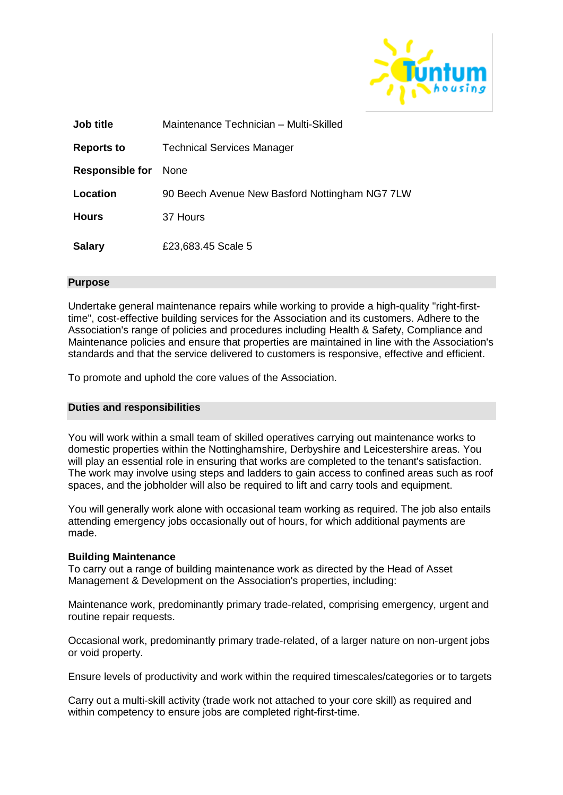

| <b>Job title</b>       | Maintenance Technician - Multi-Skilled         |
|------------------------|------------------------------------------------|
| <b>Reports to</b>      | <b>Technical Services Manager</b>              |
| <b>Responsible for</b> | <b>None</b>                                    |
| Location               | 90 Beech Avenue New Basford Nottingham NG7 7LW |
| <b>Hours</b>           | 37 Hours                                       |
| <b>Salary</b>          | £23,683.45 Scale 5                             |

## **Purpose**

Undertake general maintenance repairs while working to provide a high-quality "right-firsttime", cost-effective building services for the Association and its customers. Adhere to the Association's range of policies and procedures including Health & Safety, Compliance and Maintenance policies and ensure that properties are maintained in line with the Association's standards and that the service delivered to customers is responsive, effective and efficient.

To promote and uphold the core values of the Association.

## **Duties and responsibilities**

You will work within a small team of skilled operatives carrying out maintenance works to domestic properties within the Nottinghamshire, Derbyshire and Leicestershire areas. You will play an essential role in ensuring that works are completed to the tenant's satisfaction. The work may involve using steps and ladders to gain access to confined areas such as roof spaces, and the jobholder will also be required to lift and carry tools and equipment.

You will generally work alone with occasional team working as required. The job also entails attending emergency jobs occasionally out of hours, for which additional payments are made.

## **Building Maintenance**

To carry out a range of building maintenance work as directed by the Head of Asset Management & Development on the Association's properties, including:

Maintenance work, predominantly primary trade-related, comprising emergency, urgent and routine repair requests.

Occasional work, predominantly primary trade-related, of a larger nature on non-urgent jobs or void property.

Ensure levels of productivity and work within the required timescales/categories or to targets

Carry out a multi-skill activity (trade work not attached to your core skill) as required and within competency to ensure jobs are completed right-first-time.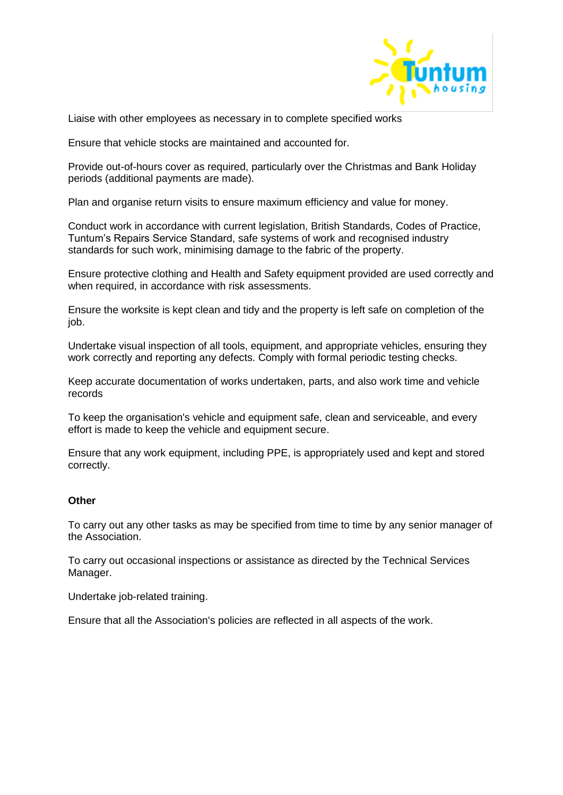

Liaise with other employees as necessary in to complete specified works

Ensure that vehicle stocks are maintained and accounted for.

Provide out-of-hours cover as required, particularly over the Christmas and Bank Holiday periods (additional payments are made).

Plan and organise return visits to ensure maximum efficiency and value for money.

Conduct work in accordance with current legislation, British Standards, Codes of Practice, Tuntum's Repairs Service Standard, safe systems of work and recognised industry standards for such work, minimising damage to the fabric of the property.

Ensure protective clothing and Health and Safety equipment provided are used correctly and when required, in accordance with risk assessments.

Ensure the worksite is kept clean and tidy and the property is left safe on completion of the job.

Undertake visual inspection of all tools, equipment, and appropriate vehicles, ensuring they work correctly and reporting any defects. Comply with formal periodic testing checks.

Keep accurate documentation of works undertaken, parts, and also work time and vehicle records

To keep the organisation's vehicle and equipment safe, clean and serviceable, and every effort is made to keep the vehicle and equipment secure.

Ensure that any work equipment, including PPE, is appropriately used and kept and stored correctly.

## **Other**

To carry out any other tasks as may be specified from time to time by any senior manager of the Association.

To carry out occasional inspections or assistance as directed by the Technical Services Manager.

Undertake job-related training.

Ensure that all the Association's policies are reflected in all aspects of the work.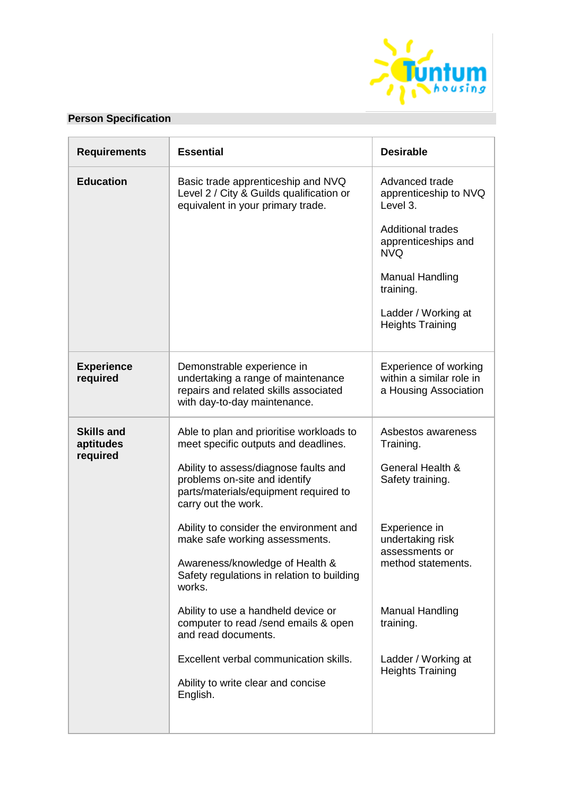

# **Person Specification**

| <b>Requirements</b>            | <b>Essential</b>                                                                                                                          | <b>Desirable</b>                                                                  |
|--------------------------------|-------------------------------------------------------------------------------------------------------------------------------------------|-----------------------------------------------------------------------------------|
| <b>Education</b>               | Basic trade apprenticeship and NVQ<br>Level 2 / City & Guilds qualification or<br>equivalent in your primary trade.                       | Advanced trade<br>apprenticeship to NVQ<br>Level 3.                               |
|                                |                                                                                                                                           | <b>Additional trades</b><br>apprenticeships and<br><b>NVQ</b>                     |
|                                |                                                                                                                                           | <b>Manual Handling</b><br>training.                                               |
|                                |                                                                                                                                           | Ladder / Working at<br><b>Heights Training</b>                                    |
| <b>Experience</b><br>required  | Demonstrable experience in<br>undertaking a range of maintenance<br>repairs and related skills associated<br>with day-to-day maintenance. | <b>Experience of working</b><br>within a similar role in<br>a Housing Association |
| <b>Skills and</b><br>aptitudes | Able to plan and prioritise workloads to<br>meet specific outputs and deadlines.                                                          | Asbestos awareness<br>Training.                                                   |
| required                       | Ability to assess/diagnose faults and<br>problems on-site and identify<br>parts/materials/equipment required to<br>carry out the work.    | General Health &<br>Safety training.                                              |
|                                | Ability to consider the environment and<br>make safe working assessments.                                                                 | Experience in<br>undertaking risk<br>assessments or                               |
|                                | Awareness/knowledge of Health &<br>Safety regulations in relation to building<br>works.                                                   | method statements.                                                                |
|                                | Ability to use a handheld device or<br>computer to read /send emails & open<br>and read documents.                                        | Manual Handling<br>training.                                                      |
|                                | Excellent verbal communication skills.<br>Ability to write clear and concise                                                              | Ladder / Working at<br><b>Heights Training</b>                                    |
|                                | English.                                                                                                                                  |                                                                                   |